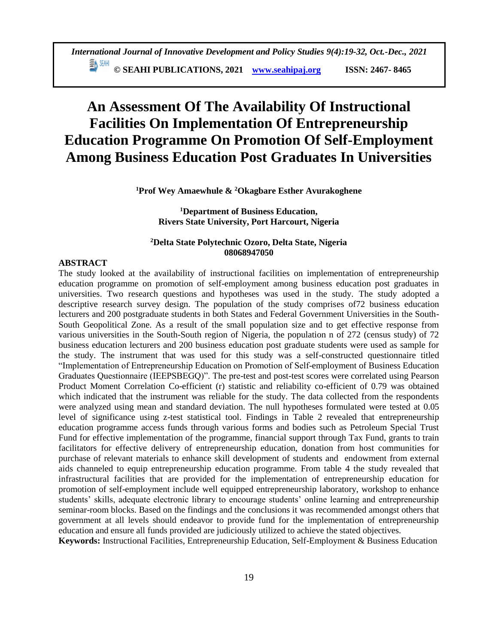**© SEAHI PUBLICATIONS, 2021 [www.seahipaj.org](http://www.seahipaj.org/) ISSN: 2467- 8465**

# **An Assessment Of The Availability Of Instructional Facilities On Implementation Of Entrepreneurship Education Programme On Promotion Of Self-Employment Among Business Education Post Graduates In Universities**

**<sup>1</sup>Prof Wey Amaewhule & <sup>2</sup>Okagbare Esther Avurakoghene**

**<sup>1</sup>Department of Business Education, Rivers State University, Port Harcourt, Nigeria**

# **<sup>2</sup>Delta State Polytechnic Ozoro, Delta State, Nigeria 08068947050**

## **ABSTRACT**

The study looked at the availability of instructional facilities on implementation of entrepreneurship education programme on promotion of self-employment among business education post graduates in universities. Two research questions and hypotheses was used in the study. The study adopted a descriptive research survey design. The population of the study comprises of72 business education lecturers and 200 postgraduate students in both States and Federal Government Universities in the South-South Geopolitical Zone. As a result of the small population size and to get effective response from various universities in the South-South region of Nigeria, the population n of 272 (census study) of 72 business education lecturers and 200 business education post graduate students were used as sample for the study. The instrument that was used for this study was a self-constructed questionnaire titled "Implementation of Entrepreneurship Education on Promotion of Self-employment of Business Education Graduates Questionnaire (IEEPSBEGQ)". The pre-test and post-test scores were correlated using Pearson Product Moment Correlation Co-efficient (r) statistic and reliability co-efficient of 0.79 was obtained which indicated that the instrument was reliable for the study. The data collected from the respondents were analyzed using mean and standard deviation. The null hypotheses formulated were tested at 0.05 level of significance using z-test statistical tool. Findings in Table 2 revealed that entrepreneurship education programme access funds through various forms and bodies such as Petroleum Special Trust Fund for effective implementation of the programme, financial support through Tax Fund, grants to train facilitators for effective delivery of entrepreneurship education, donation from host communities for purchase of relevant materials to enhance skill development of students and endowment from external aids channeled to equip entrepreneurship education programme. From table 4 the study revealed that infrastructural facilities that are provided for the implementation of entrepreneurship education for promotion of self-employment include well equipped entrepreneurship laboratory, workshop to enhance students' skills, adequate electronic library to encourage students' online learning and entrepreneurship seminar-room blocks. Based on the findings and the conclusions it was recommended amongst others that government at all levels should endeavor to provide fund for the implementation of entrepreneurship education and ensure all funds provided are judiciously utilized to achieve the stated objectives.

**Keywords:** Instructional Facilities, Entrepreneurship Education, Self-Employment & Business Education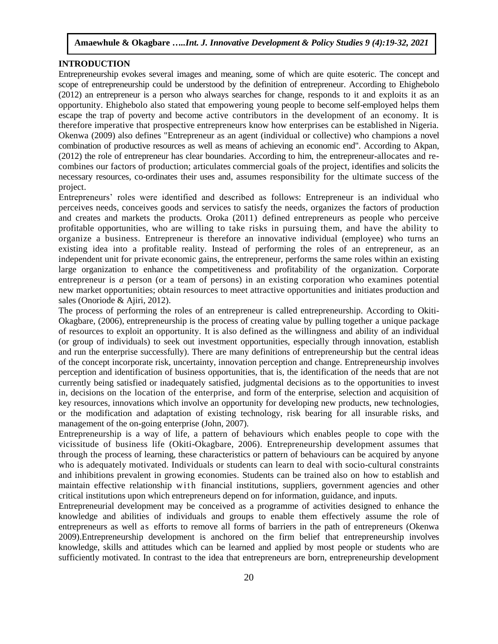# **INTRODUCTION**

Entrepreneurship evokes several images and meaning, some of which are quite esoteric. The concept and scope of entrepreneurship could be understood by the definition of entrepreneur. According to Ehighebolo (2012) an entrepreneur is a person who always searches for change, responds to it and exploits it as an opportunity. Ehighebolo also stated that empowering young people to become self-employed helps them escape the trap of poverty and become active contributors in the development of an economy. It is therefore imperative that prospective entrepreneurs know how enterprises can be established in Nigeria. Okenwa (2009) also defines "Entrepreneur as an agent (individual or collective) who champions a novel combination of productive resources as well as means of achieving an economic end". According to Akpan, (2012) the role of entrepreneur has clear boundaries. According to him, the entrepreneur-allocates and recombines our factors of production; articulates commercial goals of the project, identifies and solicits the necessary resources, co-ordinates their uses and, assumes responsibility for the ultimate success of the project.

Entrepreneurs' roles were identified and described as follows: Entrepreneur is an individual who perceives needs, conceives goods and services to satisfy the needs, organizes the factors of production and creates and markets the products. Oroka (2011) defined entrepreneurs as people who perceive profitable opportunities, who are willing to take risks in pursuing them, and have the ability to organize a business. Entrepreneur is therefore an innovative individual (employee) who turns an existing idea into a profitable reality. Instead of performing the roles of an entrepreneur, as an independent unit for private economic gains, the entrepreneur, performs the same roles within an existing large organization to enhance the competitiveness and profitability of the organization. Corporate entrepreneur is *a* person (or a team of persons) in an existing corporation who examines potential new market opportunities; obtain resources to meet attractive opportunities and initiates production and sales (Onoriode & Ajiri, 2012).

The process of performing the roles of an entrepreneur is called entrepreneurship. According to Okiti-Okagbare, (2006), entrepreneurship is the process of creating value by pulling together a unique package of resources to exploit an opportunity. It is also defined as the willingness and ability of an individual (or group of individuals) to seek out investment opportunities, especially through innovation, establish and run the enterprise successfully). There are many definitions of entrepreneurship but the central ideas of the concept incorporate risk, uncertainty, innovation perception and change. Entrepreneurship involves perception and identification of business opportunities, that is, the identification of the needs that are not currently being satisfied or inadequately satisfied, judgmental decisions as to the opportunities to invest in, decisions on the location of the enterprise, and form of the enterprise, selection and acquisition of key resources, innovations which involve an opportunity for developing new products, new technologies, or the modification and adaptation of existing technology, risk bearing for all insurable risks, and management of the on-going enterprise (John, 2007).

Entrepreneurship is a way of life, a pattern of behaviours which enables people to cope with the vicissitude of business life (Okiti-Okagbare, 2006). Entrepreneurship development assumes that through the process of learning, these characteristics or pattern of behaviours can be acquired by anyone who is adequately motivated. Individuals or students can learn to deal with socio-cultural constraints and inhibitions prevalent in growing economies. Students can be trained also on how to establish and maintain effective relationship with financial institutions, suppliers, government agencies and other critical institutions upon which entrepreneurs depend on for information, guidance, and inputs.

Entrepreneurial development may be conceived as a programme of activities designed to enhance the knowledge and abilities of individuals and groups to enable them effectively assume the role of entrepreneurs as well as efforts to remove all forms of barriers in the path of entrepreneurs (Okenwa 2009).Entrepreneurship development is anchored on the firm belief that entrepreneurship involves knowledge, skills and attitudes which can be learned and applied by most people or students who are sufficiently motivated. In contrast to the idea that entrepreneurs are born, entrepreneurship development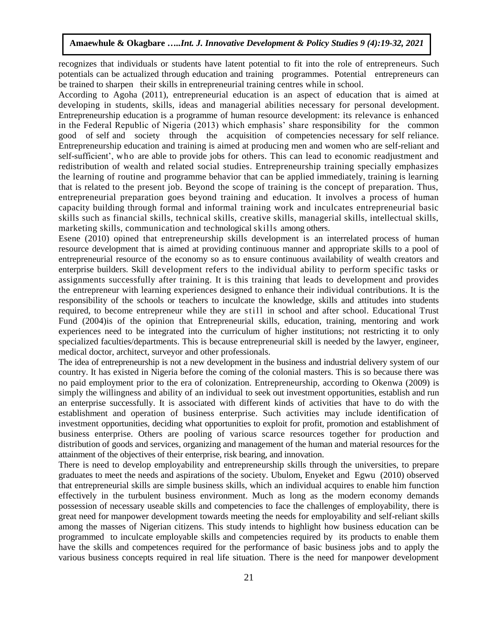recognizes that individuals or students have latent potential to fit into the role of entrepreneurs. Such potentials can be actualized through education and training programmes. Potential entrepreneurs can be trained to sharpen their skills in entrepreneurial training centres while in school.

According to Agoha (2011), entrepreneurial education is an aspect of education that is aimed at developing in students, skills, ideas and managerial abilities necessary for personal development. Entrepreneurship education is a programme of human resource development: its relevance is enhanced in the Federal Republic of Nigeria (2013) which emphasis' share responsibility for the common good of self and society through the acquisition of competencies necessary for self reliance. Entrepreneurship education and training is aimed at producing men and women who are self-reliant and self-sufficient', who are able to provide jobs for others. This can lead to economic readjustment and redistribution of wealth and related social studies. Entrepreneurship training specially emphasizes the learning of routine and programme behavior that can be applied immediately, training is learning that is related to the present job. Beyond the scope of training is the concept of preparation. Thus, entrepreneurial preparation goes beyond training and education. It involves a process of human capacity building through formal and informal training work and inculcates entrepreneurial basic skills such as financial skills, technical skills, creative skills, managerial skills, intellectual skills, marketing skills, communication and technological skills among others.

Esene (2010) opined that entrepreneurship skills development is an interrelated process of human resource development that is aimed at providing continuous manner and appropriate skills to a pool of entrepreneurial resource of the economy so as to ensure continuous availability of wealth creators and enterprise builders. Skill development refers to the individual ability to perform specific tasks or assignments successfully after training. It is this training that leads to development and provides the entrepreneur with learning experiences designed to enhance their individual contributions. It is the responsibility of the schools or teachers to inculcate the knowledge, skills and attitudes into students required, to become entrepreneur while they are still in school and after school. Educational Trust Fund (2004)is of the opinion that Entrepreneurial skills, education, training, mentoring and work experiences need to be integrated into the curriculum of higher institutions; not restricting it to only specialized faculties/departments. This is because entrepreneurial skill is needed by the lawyer, engineer, medical doctor, architect, surveyor and other professionals.

The idea of entrepreneurship is not a new development in the business and industrial delivery system of our country. It has existed in Nigeria before the coming of the colonial masters. This is so because there was no paid employment prior to the era of colonization. Entrepreneurship, according to Okenwa (2009) is simply the willingness and ability of an individual to seek out investment opportunities, establish and run an enterprise successfully. It is associated with different kinds of activities that have to do with the establishment and operation of business enterprise. Such activities may include identification of investment opportunities, deciding what opportunities to exploit for profit, promotion and establishment of business enterprise. Others are pooling of various scarce resources together for production and distribution of goods and services, organizing and management of the human and material resources for the attainment of the objectives of their enterprise, risk bearing, and innovation.

There is need to develop employability and entrepreneurship skills through the universities, to prepare graduates to meet the needs and aspirations of the society. Ubulom, Enyeket and Egwu (2010) observed that entrepreneurial skills are simple business skills, which an individual acquires to enable him function effectively in the turbulent business environment. Much as long as the modern economy demands possession of necessary useable skills and competencies to face the challenges of employability, there is great need for manpower development towards meeting the needs for employability and self-reliant skills among the masses of Nigerian citizens. This study intends to highlight how business education can be programmed to inculcate employable skills and competencies required by its products to enable them have the skills and competences required for the performance of basic business jobs and to apply the various business concepts required in real life situation. There is the need for manpower development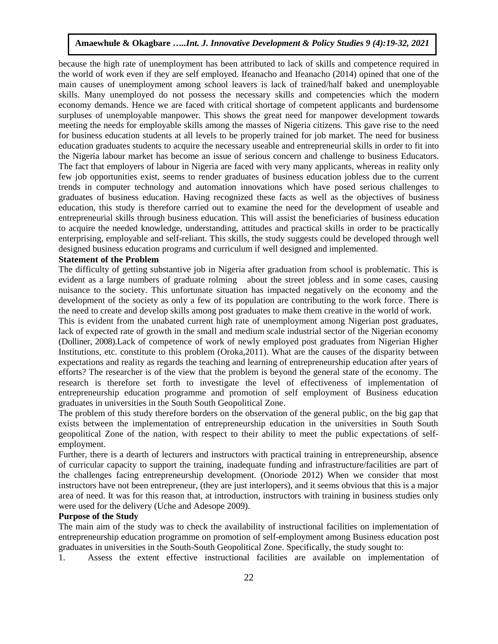because the high rate of unemployment has been attributed to lack of skills and competence required in the world of work even if they are self employed. Ifeanacho and Ifeanacho (2014) opined that one of the main causes of unemployment among school leavers is lack of trained/half baked and unemployable skills. Many unemployed do not possess the necessary skills and competencies which the modern economy demands. Hence we are faced with critical shortage of competent applicants and burdensome surpluses of unemployable manpower. This shows the great need for manpower development towards meeting the needs for employable skills among the masses of Nigeria citizens. This gave rise to the need for business education students at all levels to be properly trained for job market. The need for business education graduates students to acquire the necessary useable and entrepreneurial skills in order to fit into the Nigeria labour market has become an issue of serious concern and challenge to business Educators. The fact that employers of labour in Nigeria are faced with very many applicants, whereas in reality only few job opportunities exist, seems to render graduates of business education jobless due to the current trends in computer technology and automation innovations which have posed serious challenges to graduates of business education. Having recognized these facts as well as the objectives of business education, this study is therefore carried out to examine the need for the development of useable and entrepreneurial skills through business education. This will assist the beneficiaries of business education to acquire the needed knowledge, understanding, attitudes and practical skills in order to be practically enterprising, employable and self-reliant. This skills, the study suggests could be developed through well designed business education programs and curriculum if well designed and implemented.

#### **Statement of the Problem**

The difficulty of getting substantive job in Nigeria after graduation from school is problematic. This is evident as a large numbers of graduate rolming about the street jobless and in some cases, causing nuisance to the society. This unfortunate situation has impacted negatively on the economy and the development of the society as only a few of its population are contributing to the work force. There is the need to create and develop skills among post graduates to make them creative in the world of work.

This is evident from the unabated current high rate of unemployment among Nigerian post graduates, lack of expected rate of growth in the small and medium scale industrial sector of the Nigerian economy (Dolliner, 2008).Lack of competence of work of newly employed post graduates from Nigerian Higher Institutions, etc. constitute to this problem (Oroka,2011). What are the causes of the disparity between expectations and reality as regards the teaching and learning of entrepreneurship education after years of efforts? The researcher is of the view that the problem is beyond the general state of the economy. The research is therefore set forth to investigate the level of effectiveness of implementation of entrepreneurship education programme and promotion of self employment of Business education graduates in universities in the South South Geopolitical Zone.

The problem of this study therefore borders on the observation of the general public, on the big gap that exists between the implementation of entrepreneurship education in the universities in South South geopolitical Zone of the nation, with respect to their ability to meet the public expectations of selfemployment.

Further, there is a dearth of lecturers and instructors with practical training in entrepreneurship, absence of curricular capacity to support the training, inadequate funding and infrastructure/facilities are part of the challenges facing entrepreneurship development. (Onoriode 2012) When we consider that most instructors have not been entrepreneur, (they are just interlopers), and it seems obvious that this is a major area of need. It was for this reason that, at introduction, instructors with training in business studies only were used for the delivery (Uche and Adesope 2009).

#### **Purpose of the Study**

The main aim of the study was to check the availability of instructional facilities on implementation of entrepreneurship education programme on promotion of self-employment among Business education post graduates in universities in the South-South Geopolitical Zone. Specifically, the study sought to:

1. Assess the extent effective instructional facilities are available on implementation of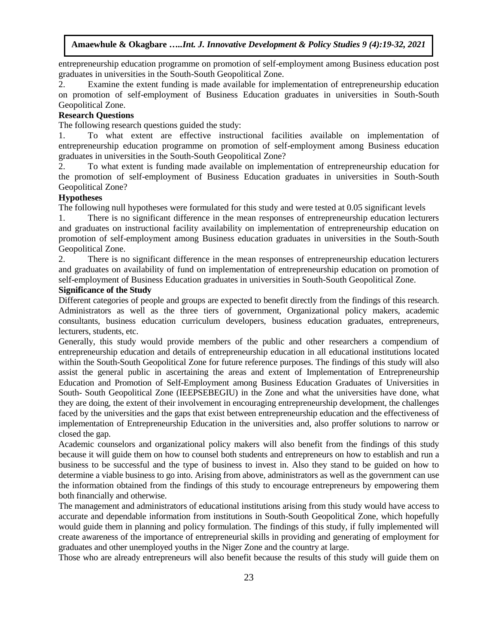entrepreneurship education programme on promotion of self-employment among Business education post graduates in universities in the South-South Geopolitical Zone.

2. Examine the extent funding is made available for implementation of entrepreneurship education on promotion of self-employment of Business Education graduates in universities in South-South Geopolitical Zone.

## **Research Questions**

The following research questions guided the study:

1. To what extent are effective instructional facilities available on implementation of entrepreneurship education programme on promotion of self-employment among Business education graduates in universities in the South-South Geopolitical Zone?

2. To what extent is funding made available on implementation of entrepreneurship education for the promotion of self-employment of Business Education graduates in universities in South-South Geopolitical Zone?

# **Hypotheses**

The following null hypotheses were formulated for this study and were tested at 0.05 significant levels

1. There is no significant difference in the mean responses of entrepreneurship education lecturers and graduates on instructional facility availability on implementation of entrepreneurship education on promotion of self-employment among Business education graduates in universities in the South-South Geopolitical Zone.

2. There is no significant difference in the mean responses of entrepreneurship education lecturers and graduates on availability of fund on implementation of entrepreneurship education on promotion of self-employment of Business Education graduates in universities in South-South Geopolitical Zone.

# **Significance of the Study**

Different categories of people and groups are expected to benefit directly from the findings of this research. Administrators as well as the three tiers of government, Organizational policy makers, academic consultants, business education curriculum developers, business education graduates, entrepreneurs, lecturers, students, etc.

Generally, this study would provide members of the public and other researchers a compendium of entrepreneurship education and details of entrepreneurship education in all educational institutions located within the South-South Geopolitical Zone for future reference purposes. The findings of this study will also assist the general public in ascertaining the areas and extent of Implementation of Entrepreneurship Education and Promotion of Self-Employment among Business Education Graduates of Universities in South- South Geopolitical Zone (IEEPSEBEGIU) in the Zone and what the universities have done, what they are doing, the extent of their involvement in encouraging entrepreneurship development, the challenges faced by the universities and the gaps that exist between entrepreneurship education and the effectiveness of implementation of Entrepreneurship Education in the universities and, also proffer solutions to narrow or closed the gap.

Academic counselors and organizational policy makers will also benefit from the findings of this study because it will guide them on how to counsel both students and entrepreneurs on how to establish and run a business to be successful and the type of business to invest in. Also they stand to be guided on how to determine a viable business to go into. Arising from above, administrators as well as the government can use the information obtained from the findings of this study to encourage entrepreneurs by empowering them both financially and otherwise.

The management and administrators of educational institutions arising from this study would have access to accurate and dependable information from institutions in South-South Geopolitical Zone, which hopefully would guide them in planning and policy formulation. The findings of this study, if fully implemented will create awareness of the importance of entrepreneurial skills in providing and generating of employment for graduates and other unemployed youths in the Niger Zone and the country at large.

Those who are already entrepreneurs will also benefit because the results of this study will guide them on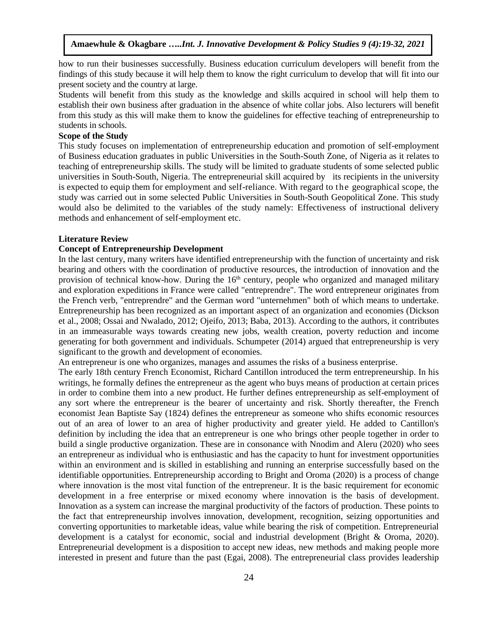how to run their businesses successfully. Business education curriculum developers will benefit from the findings of this study because it will help them to know the right curriculum to develop that will fit into our present society and the country at large.

Students will benefit from this study as the knowledge and skills acquired in school will help them to establish their own business after graduation in the absence of white collar jobs. Also lecturers will benefit from this study as this will make them to know the guidelines for effective teaching of entrepreneurship to students in schools.

#### **Scope of the Study**

This study focuses on implementation of entrepreneurship education and promotion of self-employment of Business education graduates in public Universities in the South-South Zone, of Nigeria as it relates to teaching of entrepreneurship skills. The study will be limited to graduate students of some selected public universities in South-South, Nigeria. The entrepreneurial skill acquired by its recipients in the university is expected to equip them for employment and self-reliance. With regard to the geographical scope, the study was carried out in some selected Public Universities in South-South Geopolitical Zone. This study would also be delimited to the variables of the study namely: Effectiveness of instructional delivery methods and enhancement of self-employment etc.

#### **Literature Review**

#### **Concept of Entrepreneurship Development**

In the last century, many writers have identified entrepreneurship with the function of uncertainty and risk bearing and others with the coordination of productive resources, the introduction of innovation and the provision of technical know-how. During the 16<sup>th</sup> century, people who organized and managed military and exploration expeditions in France were called "entreprendre". The word entrepreneur originates from the French verb, "entreprendre" and the German word "unternehmen" both of which means to undertake. Entrepreneurship has been recognized as an important aspect of an organization and economies (Dickson et al., 2008; Ossai and Nwalado, 2012; Ojeifo, 2013; Baba, 2013). According to the authors, it contributes in an immeasurable ways towards creating new jobs, wealth creation, poverty reduction and income generating for both government and individuals. Schumpeter (2014) argued that entrepreneurship is very significant to the growth and development of economies.

An entrepreneur is one who organizes, manages and assumes the risks of a business enterprise.

The early 18th century French Economist, Richard Cantillon introduced the term entrepreneurship. In his writings, he formally defines the entrepreneur as the agent who buys means of production at certain prices in order to combine them into a new product. He further defines entrepreneurship as self-employment of any sort where the entrepreneur is the bearer of uncertainty and risk. Shortly thereafter, the French economist Jean Baptiste Say (1824) defines the entrepreneur as someone who shifts economic resources out of an area of lower to an area of higher productivity and greater yield. He added to Cantillon's definition by including the idea that an entrepreneur is one who brings other people together in order to build a single productive organization. These are in consonance with Nnodim and Aleru (2020) who sees an entrepreneur as individual who is enthusiastic and has the capacity to hunt for investment opportunities within an environment and is skilled in establishing and running an enterprise successfully based on the identifiable opportunities. Entrepreneurship according to Bright and Oroma (2020) is a process of change where innovation is the most vital function of the entrepreneur. It is the basic requirement for economic development in a free enterprise or mixed economy where innovation is the basis of development. Innovation as a system can increase the marginal productivity of the factors of production. These points to the fact that entrepreneurship involves innovation, development, recognition, seizing opportunities and converting opportunities to marketable ideas, value while bearing the risk of competition. Entrepreneurial development is a catalyst for economic, social and industrial development (Bright & Oroma, 2020). Entrepreneurial development is a disposition to accept new ideas, new methods and making people more interested in present and future than the past (Egai, 2008). The entrepreneurial class provides leadership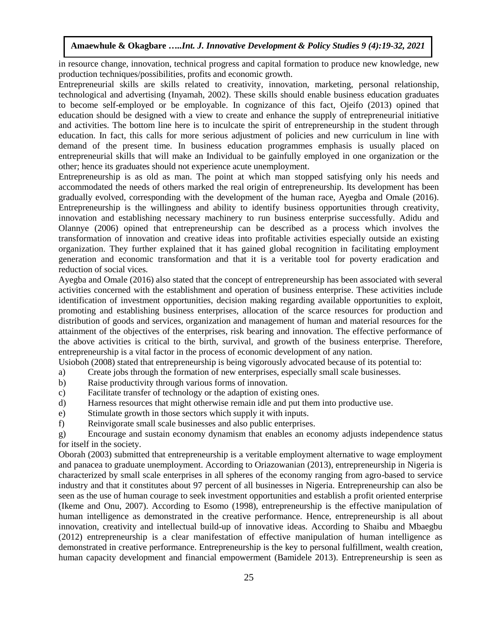in resource change, innovation, technical progress and capital formation to produce new knowledge, new production techniques/possibilities, profits and economic growth.

Entrepreneurial skills are skills related to creativity, innovation, marketing, personal relationship, technological and advertising (Inyamah, 2002). These skills should enable business education graduates to become self-employed or be employable. In cognizance of this fact, Ojeifo (2013) opined that education should be designed with a view to create and enhance the supply of entrepreneurial initiative and activities. The bottom line here is to inculcate the spirit of entrepreneurship in the student through education. In fact, this calls for more serious adjustment of policies and new curriculum in line with demand of the present time. In business education programmes emphasis is usually placed on entrepreneurial skills that will make an Individual to be gainfully employed in one organization or the other; hence its graduates should not experience acute unemployment.

Entrepreneurship is as old as man. The point at which man stopped satisfying only his needs and accommodated the needs of others marked the real origin of entrepreneurship. Its development has been gradually evolved, corresponding with the development of the human race, Ayegba and Omale (2016). Entrepreneurship is the willingness and ability to identify business opportunities through creativity, innovation and establishing necessary machinery to run business enterprise successfully. Adidu and Olannye (2006) opined that entrepreneurship can be described as a process which involves the transformation of innovation and creative ideas into profitable activities especially outside an existing organization. They further explained that it has gained global recognition in facilitating employment generation and economic transformation and that it is a veritable tool for poverty eradication and reduction of social vices.

Ayegba and Omale (2016) also stated that the concept of entrepreneurship has been associated with several activities concerned with the establishment and operation of business enterprise. These activities include identification of investment opportunities, decision making regarding available opportunities to exploit, promoting and establishing business enterprises, allocation of the scarce resources for production and distribution of goods and services, organization and management of human and material resources for the attainment of the objectives of the enterprises, risk bearing and innovation. The effective performance of the above activities is critical to the birth, survival, and growth of the business enterprise. Therefore, entrepreneurship is a vital factor in the process of economic development of any nation.

Usioboh (2008) stated that entrepreneurship is being vigorously advocated because of its potential to:

- a) Create jobs through the formation of new enterprises, especially small scale businesses.
- b) Raise productivity through various forms of innovation.
- c) Facilitate transfer of technology or the adaption of existing ones.
- d) Harness resources that might otherwise remain idle and put them into productive use.
- e) Stimulate growth in those sectors which supply it with inputs.
- f) Reinvigorate small scale businesses and also public enterprises.

g) Encourage and sustain economy dynamism that enables an economy adjusts independence status for itself in the society.

Oborah (2003) submitted that entrepreneurship is a veritable employment alternative to wage employment and panacea to graduate unemployment. According to Oriazowanian (2013), entrepreneurship in Nigeria is characterized by small scale enterprises in all spheres of the economy ranging from agro-based to service industry and that it constitutes about 97 percent of all businesses in Nigeria. Entrepreneurship can also be seen as the use of human courage to seek investment opportunities and establish a profit oriented enterprise (Ikeme and Onu, 2007). According to Esomo (1998), entrepreneurship is the effective manipulation of human intelligence as demonstrated in the creative performance. Hence, entrepreneurship is all about innovation, creativity and intellectual build-up of innovative ideas. According to Shaibu and Mbaegbu (2012) entrepreneurship is a clear manifestation of effective manipulation of human intelligence as demonstrated in creative performance. Entrepreneurship is the key to personal fulfillment, wealth creation, human capacity development and financial empowerment (Bamidele 2013). Entrepreneurship is seen as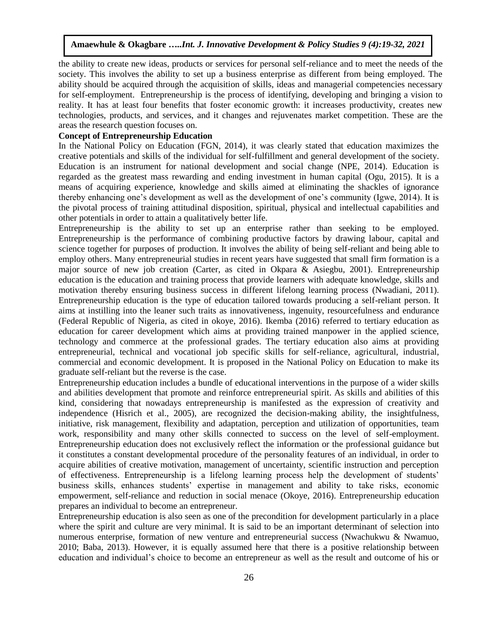the ability to create new ideas, products or services for personal self-reliance and to meet the needs of the society. This involves the ability to set up a business enterprise as different from being employed. The ability should be acquired through the acquisition of skills, ideas and managerial competencies necessary for self-employment. Entrepreneurship is the process of identifying, developing and bringing a vision to reality. It has at least four benefits that foster economic growth: it increases productivity, creates new technologies, products, and services, and it changes and rejuvenates market competition. These are the areas the research question focuses on.

# **Concept of Entrepreneurship Education**

In the National Policy on Education (FGN, 2014), it was clearly stated that education maximizes the creative potentials and skills of the individual for self-fulfillment and general development of the society. Education is an instrument for national development and social change (NPE, 2014). Education is regarded as the greatest mass rewarding and ending investment in human capital (Ogu, 2015). It is a means of acquiring experience, knowledge and skills aimed at eliminating the shackles of ignorance thereby enhancing one's development as well as the development of one's community (Igwe, 2014). It is the pivotal process of training attitudinal disposition, spiritual, physical and intellectual capabilities and other potentials in order to attain a qualitatively better life.

Entrepreneurship is the ability to set up an enterprise rather than seeking to be employed. Entrepreneurship is the performance of combining productive factors by drawing labour, capital and science together for purposes of production. It involves the ability of being self-reliant and being able to employ others. Many entrepreneurial studies in recent years have suggested that small firm formation is a major source of new job creation (Carter, as cited in Okpara & Asiegbu, 2001). Entrepreneurship education is the education and training process that provide learners with adequate knowledge, skills and motivation thereby ensuring business success in different lifelong learning process (Nwadiani, 2011). Entrepreneurship education is the type of education tailored towards producing a self-reliant person. It aims at instilling into the leaner such traits as innovativeness, ingenuity, resourcefulness and endurance (Federal Republic of Nigeria, as cited in okoye, 2016). Ikemba (2016) referred to tertiary education as education for career development which aims at providing trained manpower in the applied science, technology and commerce at the professional grades. The tertiary education also aims at providing entrepreneurial, technical and vocational job specific skills for self-reliance, agricultural, industrial, commercial and economic development. It is proposed in the National Policy on Education to make its graduate self-reliant but the reverse is the case.

Entrepreneurship education includes a bundle of educational interventions in the purpose of a wider skills and abilities development that promote and reinforce entrepreneurial spirit. As skills and abilities of this kind, considering that nowadays entrepreneurship is manifested as the expression of creativity and independence (Hisrich et al., 2005), are recognized the decision-making ability, the insightfulness, initiative, risk management, flexibility and adaptation, perception and utilization of opportunities, team work, responsibility and many other skills connected to success on the level of self-employment. Entrepreneurship education does not exclusively reflect the information or the professional guidance but it constitutes a constant developmental procedure of the personality features of an individual, in order to acquire abilities of creative motivation, management of uncertainty, scientific instruction and perception of effectiveness. Entrepreneurship is a lifelong learning process help the development of students' business skills, enhances students' expertise in management and ability to take risks, economic empowerment, self-reliance and reduction in social menace (Okoye, 2016). Entrepreneurship education prepares an individual to become an entrepreneur.

Entrepreneurship education is also seen as one of the precondition for development particularly in a place where the spirit and culture are very minimal. It is said to be an important determinant of selection into numerous enterprise, formation of new venture and entrepreneurial success (Nwachukwu & Nwamuo, 2010; Baba, 2013). However, it is equally assumed here that there is a positive relationship between education and individual's choice to become an entrepreneur as well as the result and outcome of his or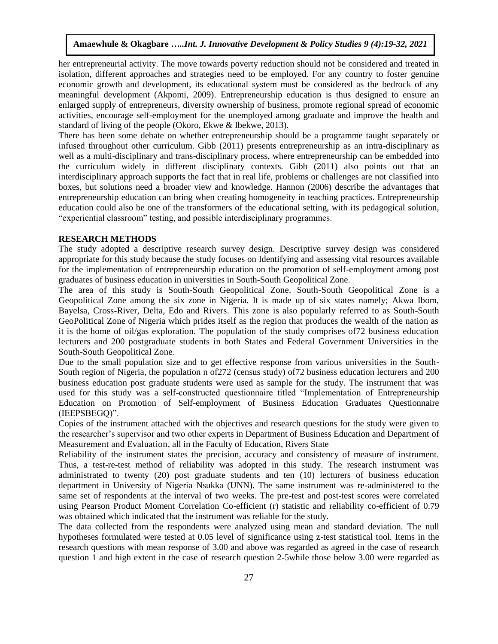her entrepreneurial activity. The move towards poverty reduction should not be considered and treated in isolation, different approaches and strategies need to be employed. For any country to foster genuine economic growth and development, its educational system must be considered as the bedrock of any meaningful development (Akpomi, 2009). Entrepreneurship education is thus designed to ensure an enlarged supply of entrepreneurs, diversity ownership of business, promote regional spread of economic activities, encourage self-employment for the unemployed among graduate and improve the health and standard of living of the people (Okoro, Ekwe & Ibekwe, 2013).

There has been some debate on whether entrepreneurship should be a programme taught separately or infused throughout other curriculum. Gibb (2011) presents entrepreneurship as an intra-disciplinary as well as a multi-disciplinary and trans-disciplinary process, where entrepreneurship can be embedded into the curriculum widely in different disciplinary contexts. Gibb (2011) also points out that an interdisciplinary approach supports the fact that in real life, problems or challenges are not classified into boxes, but solutions need a broader view and knowledge. Hannon (2006) describe the advantages that entrepreneurship education can bring when creating homogeneity in teaching practices. Entrepreneurship education could also be one of the transformers of the educational setting, with its pedagogical solution, "experiential classroom" testing, and possible interdisciplinary programmes.

#### **RESEARCH METHODS**

The study adopted a descriptive research survey design. Descriptive survey design was considered appropriate for this study because the study focuses on Identifying and assessing vital resources available for the implementation of entrepreneurship education on the promotion of self-employment among post graduates of business education in universities in South-South Geopolitical Zone.

The area of this study is South-South Geopolitical Zone. South-South Geopolitical Zone is a Geopolitical Zone among the six zone in Nigeria. It is made up of six states namely; Akwa Ibom, Bayelsa, Cross-River, Delta, Edo and Rivers. This zone is also popularly referred to as South-South GeoPolitical Zone of Nigeria which prides itself as the region that produces the wealth of the nation as it is the home of oil/gas exploration. The population of the study comprises of72 business education lecturers and 200 postgraduate students in both States and Federal Government Universities in the South-South Geopolitical Zone.

Due to the small population size and to get effective response from various universities in the South-South region of Nigeria, the population n of272 (census study) of72 business education lecturers and 200 business education post graduate students were used as sample for the study. The instrument that was used for this study was a self-constructed questionnaire titled "Implementation of Entrepreneurship Education on Promotion of Self-employment of Business Education Graduates Questionnaire (IEEPSBEGQ)".

Copies of the instrument attached with the objectives and research questions for the study were given to the researcher's supervisor and two other experts in Department of Business Education and Department of Measurement and Evaluation, all in the Faculty of Education, Rivers State

Reliability of the instrument states the precision, accuracy and consistency of measure of instrument. Thus, a test-re-test method of reliability was adopted in this study. The research instrument was administrated to twenty (20) post graduate students and ten (10) lecturers of business education department in University of Nigeria Nsukka (UNN). The same instrument was re-administered to the same set of respondents at the interval of two weeks. The pre-test and post-test scores were correlated using Pearson Product Moment Correlation Co-efficient (r) statistic and reliability co-efficient of 0.79 was obtained which indicated that the instrument was reliable for the study.

The data collected from the respondents were analyzed using mean and standard deviation. The null hypotheses formulated were tested at 0.05 level of significance using z-test statistical tool. Items in the research questions with mean response of 3.00 and above was regarded as agreed in the case of research question 1 and high extent in the case of research question 2-5while those below 3.00 were regarded as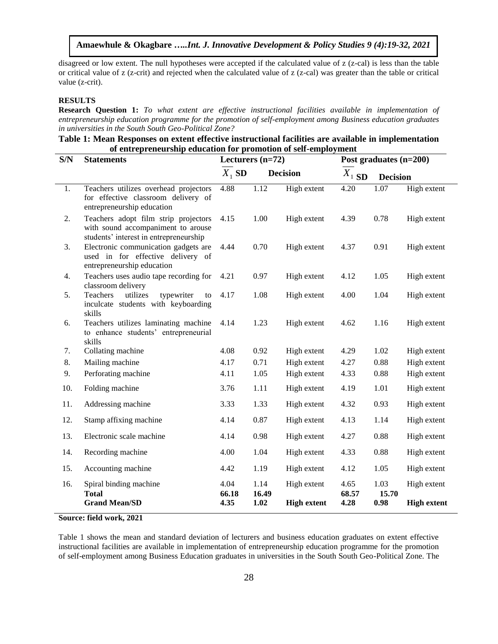disagreed or low extent. The null hypotheses were accepted if the calculated value of z (z-cal) is less than the table or critical value of z (z-crit) and rejected when the calculated value of z (z-cal) was greater than the table or critical value (z-crit).

#### **RESULTS**

**Research Question 1:** *To what extent are effective instructional facilities available in implementation of entrepreneurship education programme for the promotion of self-employment among Business education graduates in universities in the South South Geo-Political Zone?*

# **Table 1: Mean Responses on extent effective instructional facilities are available in implementation of entrepreneurship education for promotion of self-employment**

| S/N | <b>Statements</b>                                                                                                    | Lecturers $(n=72)$ |               |                    | Post graduates (n=200) |                 |                    |  |
|-----|----------------------------------------------------------------------------------------------------------------------|--------------------|---------------|--------------------|------------------------|-----------------|--------------------|--|
|     |                                                                                                                      | $X_1$ SD           |               | <b>Decision</b>    | $\overline{X}_1$ SD    | <b>Decision</b> |                    |  |
| 1.  | Teachers utilizes overhead projectors<br>for effective classroom delivery of<br>entrepreneurship education           | 4.88               | 1.12          | High extent        | 4.20                   | 1.07            | High extent        |  |
| 2.  | Teachers adopt film strip projectors<br>with sound accompaniment to arouse<br>students' interest in entrepreneurship | 4.15               | 1.00          | High extent        | 4.39                   | 0.78            | High extent        |  |
| 3.  | Electronic communication gadgets are<br>used in for effective delivery of<br>entrepreneurship education              | 4.44               | 0.70          | High extent        | 4.37                   | 0.91            | High extent        |  |
| 4.  | Teachers uses audio tape recording for<br>classroom delivery                                                         | 4.21               | 0.97          | High extent        | 4.12                   | 1.05            | High extent        |  |
| 5.  | utilizes<br>Teachers<br>typewriter<br>to<br>inculcate students with keyboarding<br>skills                            | 4.17               | 1.08          | High extent        | 4.00                   | 1.04            | High extent        |  |
| 6.  | Teachers utilizes laminating machine<br>to enhance students' entrepreneurial<br>skills                               | 4.14               | 1.23          | High extent        | 4.62                   | 1.16            | High extent        |  |
| 7.  | Collating machine                                                                                                    | 4.08               | 0.92          | High extent        | 4.29                   | 1.02            | High extent        |  |
| 8.  | Mailing machine                                                                                                      | 4.17               | 0.71          | High extent        | 4.27                   | 0.88            | High extent        |  |
| 9.  | Perforating machine                                                                                                  | 4.11               | 1.05          | High extent        | 4.33                   | 0.88            | High extent        |  |
| 10. | Folding machine                                                                                                      | 3.76               | 1.11          | High extent        | 4.19                   | 1.01            | High extent        |  |
| 11. | Addressing machine                                                                                                   | 3.33               | 1.33          | High extent        | 4.32                   | 0.93            | High extent        |  |
| 12. | Stamp affixing machine                                                                                               | 4.14               | 0.87          | High extent        | 4.13                   | 1.14            | High extent        |  |
| 13. | Electronic scale machine                                                                                             | 4.14               | 0.98          | High extent        | 4.27                   | 0.88            | High extent        |  |
| 14. | Recording machine                                                                                                    | 4.00               | 1.04          | High extent        | 4.33                   | 0.88            | High extent        |  |
| 15. | Accounting machine                                                                                                   | 4.42               | 1.19          | High extent        | 4.12                   | 1.05            | High extent        |  |
| 16. | Spiral binding machine<br><b>Total</b>                                                                               | 4.04<br>66.18      | 1.14<br>16.49 | High extent        | 4.65<br>68.57          | 1.03<br>15.70   | High extent        |  |
|     | <b>Grand Mean/SD</b>                                                                                                 | 4.35               | 1.02          | <b>High extent</b> | 4.28                   | 0.98            | <b>High extent</b> |  |

**Source: field work, 2021**

Table 1 shows the mean and standard deviation of lecturers and business education graduates on extent effective instructional facilities are available in implementation of entrepreneurship education programme for the promotion of self-employment among Business Education graduates in universities in the South South Geo-Political Zone. The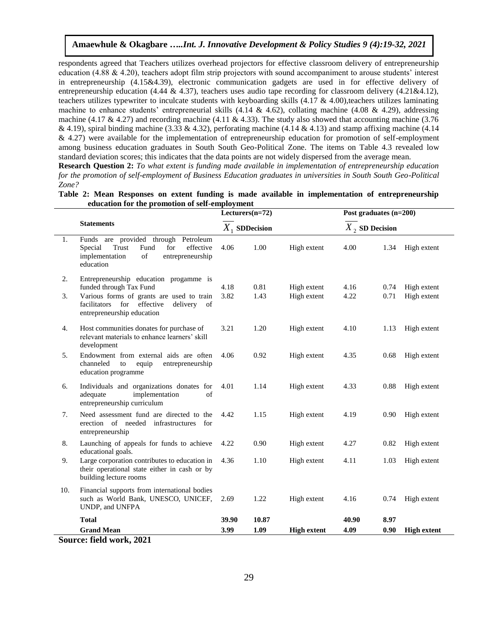respondents agreed that Teachers utilizes overhead projectors for effective classroom delivery of entrepreneurship education (4.88 & 4.20), teachers adopt film strip projectors with sound accompaniment to arouse students' interest in entrepreneurship (4.15&4.39), electronic communication gadgets are used in for effective delivery of entrepreneurship education (4.44 & 4.37), teachers uses audio tape recording for classroom delivery (4.21&4.12), teachers utilizes typewriter to inculcate students with keyboarding skills  $(4.17 \& 4.00)$ , teachers utilizes laminating machine to enhance students' entrepreneurial skills  $(4.14 \& 4.62)$ , collating machine  $(4.08 \& 4.29)$ , addressing machine (4.17 & 4.27) and recording machine (4.11 & 4.33). The study also showed that accounting machine (3.76 & 4.19), spiral binding machine (3.33 & 4.32), perforating machine (4.14 & 4.13) and stamp affixing machine (4.14 & 4.27) were available for the implementation of entrepreneurship education for promotion of self-employment among business education graduates in South South Geo-Political Zone. The items on Table 4.3 revealed low standard deviation scores; this indicates that the data points are not widely dispersed from the average mean.

**Research Question 2:** *To what extent is funding made available in implementation of entrepreneurship education for the promotion of self-employment of Business Education graduates in universities in South South Geo-Political Zone?*

|     | equeation for the promotion of seif-employment                                                                                                     |       |                    |                            |                          |      |                            |
|-----|----------------------------------------------------------------------------------------------------------------------------------------------------|-------|--------------------|----------------------------|--------------------------|------|----------------------------|
|     |                                                                                                                                                    |       | Lecturers $(n=72)$ |                            | Post graduates $(n=200)$ |      |                            |
|     | <b>Statements</b>                                                                                                                                  |       | $X_1$ SDDecision   |                            | $X$ , SD Decision        |      |                            |
| 1.  | Funds are provided through Petroleum<br>Trust<br>Fund<br>effective<br>Special<br>for<br>implementation<br>of<br>entrepreneurship<br>education      | 4.06  | 1.00               | High extent                | 4.00                     | 1.34 | High extent                |
| 2.  | Entrepreneurship education progamme is                                                                                                             | 4.18  | 0.81               |                            | 4.16                     | 0.74 |                            |
| 3.  | funded through Tax Fund<br>Various forms of grants are used to train<br>facilitators for<br>effective<br>delivery of<br>entrepreneurship education | 3.82  | 1.43               | High extent<br>High extent | 4.22                     | 0.71 | High extent<br>High extent |
| 4.  | Host communities donates for purchase of<br>relevant materials to enhance learners' skill<br>development                                           | 3.21  | 1.20               | High extent                | 4.10                     | 1.13 | High extent                |
| 5.  | Endowment from external aids are often<br>channeled<br>to<br>equip<br>entrepreneurship<br>education programme                                      | 4.06  | 0.92               | High extent                | 4.35                     | 0.68 | High extent                |
| 6.  | Individuals and organizations donates for<br>implementation<br>adequate<br>of<br>entrepreneurship curriculum                                       | 4.01  | 1.14               | High extent                | 4.33                     | 0.88 | High extent                |
| 7.  | Need assessment fund are directed to the<br>erection of needed infrastructures for<br>entrepreneurship                                             | 4.42  | 1.15               | High extent                | 4.19                     | 0.90 | High extent                |
| 8.  | Launching of appeals for funds to achieve<br>educational goals.                                                                                    | 4.22  | 0.90               | High extent                | 4.27                     | 0.82 | High extent                |
| 9.  | Large corporation contributes to education in<br>their operational state either in cash or by<br>building lecture rooms                            | 4.36  | 1.10               | High extent                | 4.11                     | 1.03 | High extent                |
| 10. | Financial supports from international bodies<br>such as World Bank, UNESCO, UNICEF,<br>UNDP, and UNFPA                                             | 2.69  | 1.22               | High extent                | 4.16                     | 0.74 | High extent                |
|     | <b>Total</b>                                                                                                                                       | 39.90 | 10.87              |                            | 40.90                    | 8.97 |                            |
|     | <b>Grand Mean</b>                                                                                                                                  | 3.99  | 1.09               | <b>High extent</b>         | 4.09                     | 0.90 | <b>High extent</b>         |
|     | $\mathcal{C}_{\text{correspond}}$ $\mathcal{C}_{\text{el}}$ J.J. $\text{correlation}$ $\mathcal{A}_{\text{0}}$                                     |       |                    |                            |                          |      |                            |

**Table 2: Mean Responses on extent funding is made available in implementation of entrepreneurship education for the promotion of self-employment**

**Source: field work, 2021**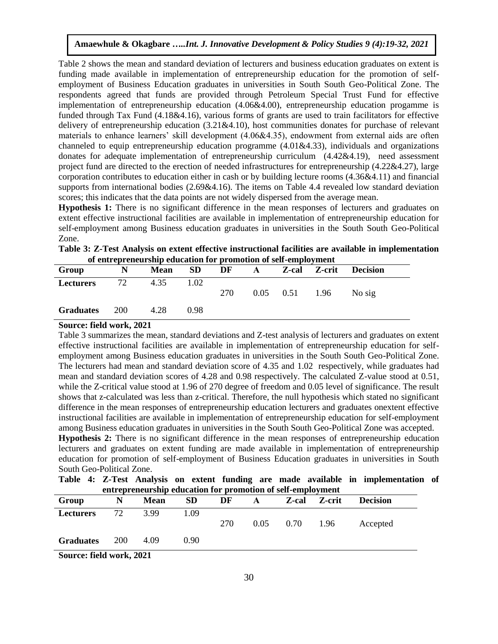Table 2 shows the mean and standard deviation of lecturers and business education graduates on extent is funding made available in implementation of entrepreneurship education for the promotion of selfemployment of Business Education graduates in universities in South South Geo-Political Zone. The respondents agreed that funds are provided through Petroleum Special Trust Fund for effective implementation of entrepreneurship education (4.06&4.00), entrepreneurship education progamme is funded through Tax Fund (4.18&4.16), various forms of grants are used to train facilitators for effective delivery of entrepreneurship education (3.21&4.10), host communities donates for purchase of relevant materials to enhance learners' skill development (4.06&4.35), endowment from external aids are often channeled to equip entrepreneurship education programme (4.01&4.33), individuals and organizations donates for adequate implementation of entrepreneurship curriculum (4.42&4.19), need assessment project fund are directed to the erection of needed infrastructures for entrepreneurship (4.22&4.27), large corporation contributes to education either in cash or by building lecture rooms (4.36&4.11) and financial supports from international bodies (2.69&4.16). The items on Table 4.4 revealed low standard deviation scores; this indicates that the data points are not widely dispersed from the average mean.

**Hypothesis 1:** There is no significant difference in the mean responses of lecturers and graduates on extent effective instructional facilities are available in implementation of entrepreneurship education for self-employment among Business education graduates in universities in the South South Geo-Political Zone.

**Table 3: Z-Test Analysis on extent effective instructional facilities are available in implementation of entrepreneurship education for promotion of self-employment**

| Group            | N          | <b>Mean</b> | <b>SD</b> | DF  | A |                      | Z-cal Z-crit | <b>Decision</b> |  |
|------------------|------------|-------------|-----------|-----|---|----------------------|--------------|-----------------|--|
| <b>Lecturers</b> | 72         | 4.35        | 1.02      | 270 |   | $0.05$ $0.51$ $1.96$ |              | No sig          |  |
| <b>Graduates</b> | <b>200</b> | 4.28        | 0.98      |     |   |                      |              |                 |  |

#### **Source: field work, 2021**

Table 3 summarizes the mean, standard deviations and Z-test analysis of lecturers and graduates on extent effective instructional facilities are available in implementation of entrepreneurship education for selfemployment among Business education graduates in universities in the South South Geo-Political Zone. The lecturers had mean and standard deviation score of 4.35 and 1.02 respectively, while graduates had mean and standard deviation scores of 4.28 and 0.98 respectively. The calculated Z-value stood at 0.51, while the Z-critical value stood at 1.96 of 270 degree of freedom and 0.05 level of significance. The result shows that z-calculated was less than z-critical. Therefore, the null hypothesis which stated no significant difference in the mean responses of entrepreneurship education lecturers and graduates onextent effective instructional facilities are available in implementation of entrepreneurship education for self-employment among Business education graduates in universities in the South South Geo-Political Zone was accepted. **Hypothesis 2:** There is no significant difference in the mean responses of entrepreneurship education lecturers and graduates on extent funding are made available in implementation of entrepreneurship

| education for promotion of self-employment of Business Education graduates in universities in South            |  |  |  |  |  |
|----------------------------------------------------------------------------------------------------------------|--|--|--|--|--|
| South Geo-Political Zone.                                                                                      |  |  |  |  |  |
| י יותר וווחד ובית המודרת וווחד וווחד וווחד וווחד וווחד וווחד וווחד וווחד וווחד וווחד וווחד וווחד וווחד וווחד ו |  |  |  |  |  |

**Table 4: Z-Test Analysis on extent funding are made available in implementation of entrepreneurship education for promotion of self-employment**

| Group                    | N          | <b>Mean</b> | <b>SD</b> | DF  | A    | Z-cal | Z-crit | <b>Decision</b> |  |
|--------------------------|------------|-------------|-----------|-----|------|-------|--------|-----------------|--|
| <b>Lecturers</b>         | 72         | 3.99        | 1.09      | 270 | 0.05 | 0.70  | 1.96   | Accepted        |  |
| <b>Graduates</b>         | <b>200</b> | 4.09        | 0.90      |     |      |       |        |                 |  |
| Source: field work, 2021 |            |             |           |     |      |       |        |                 |  |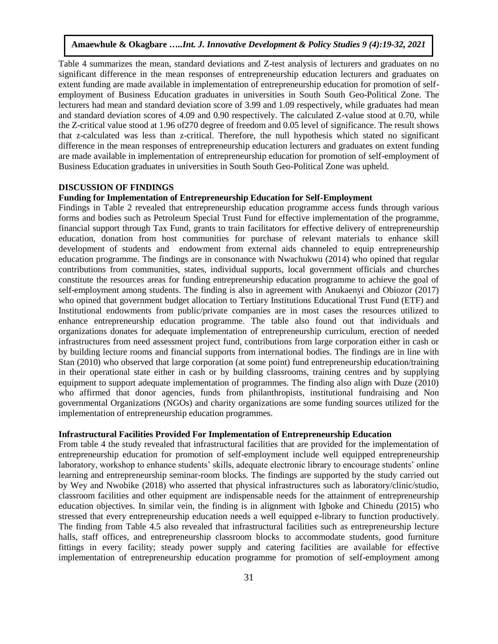Table 4 summarizes the mean, standard deviations and Z-test analysis of lecturers and graduates on no significant difference in the mean responses of entrepreneurship education lecturers and graduates on extent funding are made available in implementation of entrepreneurship education for promotion of selfemployment of Business Education graduates in universities in South South Geo-Political Zone. The lecturers had mean and standard deviation score of 3.99 and 1.09 respectively, while graduates had mean and standard deviation scores of 4.09 and 0.90 respectively. The calculated Z-value stood at 0.70, while the Z-critical value stood at 1.96 of270 degree of freedom and 0.05 level of significance. The result shows that z-calculated was less than z-critical. Therefore, the null hypothesis which stated no significant difference in the mean responses of entrepreneurship education lecturers and graduates on extent funding are made available in implementation of entrepreneurship education for promotion of self-employment of Business Education graduates in universities in South South Geo-Political Zone was upheld.

## **DISCUSSION OF FINDINGS**

## **Funding for Implementation of Entrepreneurship Education for Self-Employment**

Findings in Table 2 revealed that entrepreneurship education programme access funds through various forms and bodies such as Petroleum Special Trust Fund for effective implementation of the programme, financial support through Tax Fund, grants to train facilitators for effective delivery of entrepreneurship education, donation from host communities for purchase of relevant materials to enhance skill development of students and endowment from external aids channeled to equip entrepreneurship education programme. The findings are in consonance with Nwachukwu (2014) who opined that regular contributions from communities, states, individual supports, local government officials and churches constitute the resources areas for funding entrepreneurship education programme to achieve the goal of self-employment among students. The finding is also in agreement with Anukaenyi and Obiozor (2017) who opined that government budget allocation to Tertiary Institutions Educational Trust Fund (ETF) and Institutional endowments from public/private companies are in most cases the resources utilized to enhance entrepreneurship education programme. The table also found out that individuals and organizations donates for adequate implementation of entrepreneurship curriculum, erection of needed infrastructures from need assessment project fund, contributions from large corporation either in cash or by building lecture rooms and financial supports from international bodies. The findings are in line with Stan (2010) who observed that large corporation (at some point) fund entrepreneurship education/training in their operational state either in cash or by building classrooms, training centres and by supplying equipment to support adequate implementation of programmes. The finding also align with Duze (2010) who affirmed that donor agencies, funds from philanthropists, institutional fundraising and Non governmental Organizations (NGOs) and charity organizations are some funding sources utilized for the implementation of entrepreneurship education programmes.

# **Infrastructural Facilities Provided For Implementation of Entrepreneurship Education**

From table 4 the study revealed that infrastructural facilities that are provided for the implementation of entrepreneurship education for promotion of self-employment include well equipped entrepreneurship laboratory, workshop to enhance students' skills, adequate electronic library to encourage students' online learning and entrepreneurship seminar-room blocks. The findings are supported by the study carried out by Wey and Nwobike (2018) who asserted that physical infrastructures such as laboratory/clinic/studio, classroom facilities and other equipment are indispensable needs for the attainment of entrepreneurship education objectives. In similar vein, the finding is in alignment with Igboke and Chinedu (2015) who stressed that every entrepreneurship education needs a well equipped e-library to function productively. The finding from Table 4.5 also revealed that infrastructural facilities such as entrepreneurship lecture halls, staff offices, and entrepreneurship classroom blocks to accommodate students, good furniture fittings in every facility; steady power supply and catering facilities are available for effective implementation of entrepreneurship education programme for promotion of self-employment among